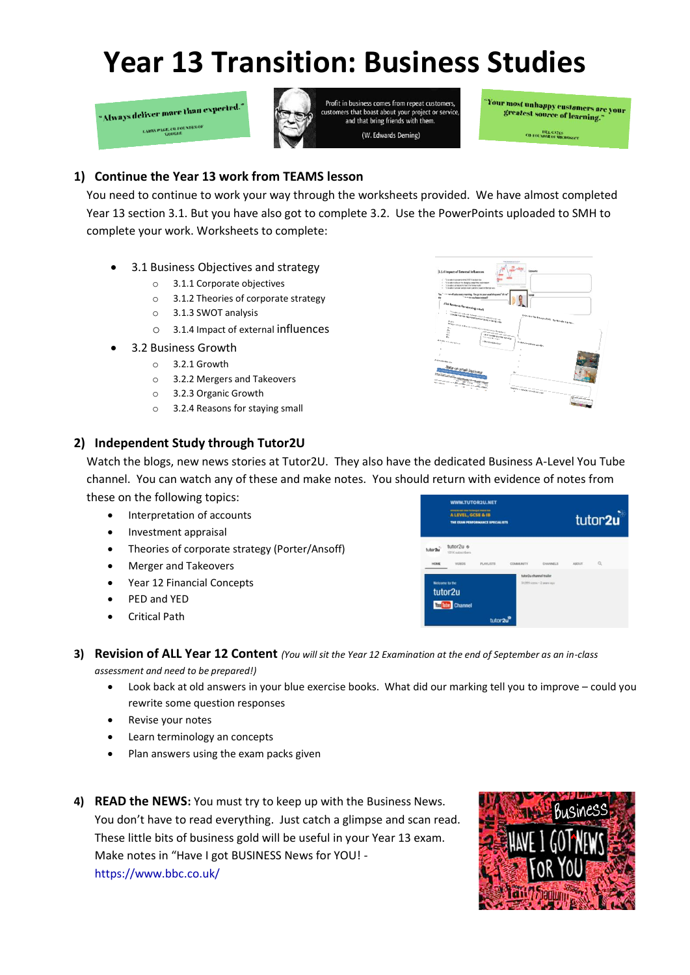## **Year 13 Transition: Business Studies**

Always deliver more than expected." **LARRY PAGE, CO-FOUND** 



Profit in business comes from repeat customers customers that boast about your project or service,<br>and that bring friends with them. (W. Edwards Deming)

.<br>Your most unhappy customers are your<br>greatest source of learnt greatest source of learning.

**CO-FOL VIDER OF MOTOR** 

## **1) Continue the Year 13 work from TEAMS lesson**

You need to continue to work your way through the worksheets provided. We have almost completed Year 13 section 3.1. But you have also got to complete 3.2. Use the PowerPoints uploaded to SMH to complete your work. Worksheets to complete:

- 3.1 Business Objectives and strategy
	- o 3.1.1 Corporate objectives
	- o 3.1.2 Theories of corporate strategy
	- o 3.1.3 SWOT analysis
	- o 3.1.4 Impact of external influences
- 3.2 Business Growth
	- $\circ$  3.2.1 Growth
	- o 3.2.2 Mergers and Takeovers
	- o 3.2.3 Organic Growth
	- o 3.2.4 Reasons for staying small

## **2) Independent Study through Tutor2U**



Watch the blogs, new news stories at Tutor2U. They also have the dedicated Business A-Level You Tube channel. You can watch any of these and make notes. You should return with evidence of notes from these on the following topics:

- Interpretation of accounts
- Investment appraisal
- Theories of corporate strategy (Porter/Ansoff)
- Merger and Takeovers
- Year 12 Financial Concepts
- PED and YED
- Critical Path



- **3) Revision of ALL Year 12 Content** *(You will sit the Year 12 Examination at the end of September as an in-class assessment and need to be prepared!)*
	- Look back at old answers in your blue exercise books. What did our marking tell you to improve could you rewrite some question responses
	- Revise your notes
	- Learn terminology an concepts
	- Plan answers using the exam packs given
- **4) READ the NEWS:** You must try to keep up with the Business News. You don't have to read everything. Just catch a glimpse and scan read. These little bits of business gold will be useful in your Year 13 exam. Make notes in "Have I got BUSINESS News for YOU! [https://www.bbc.co.uk/](https://www.bbc.co.uk/programmes/articles/h6KWK7cc2BcQvWVqhtM0Zq/the-novels-that-shaped-our-world)